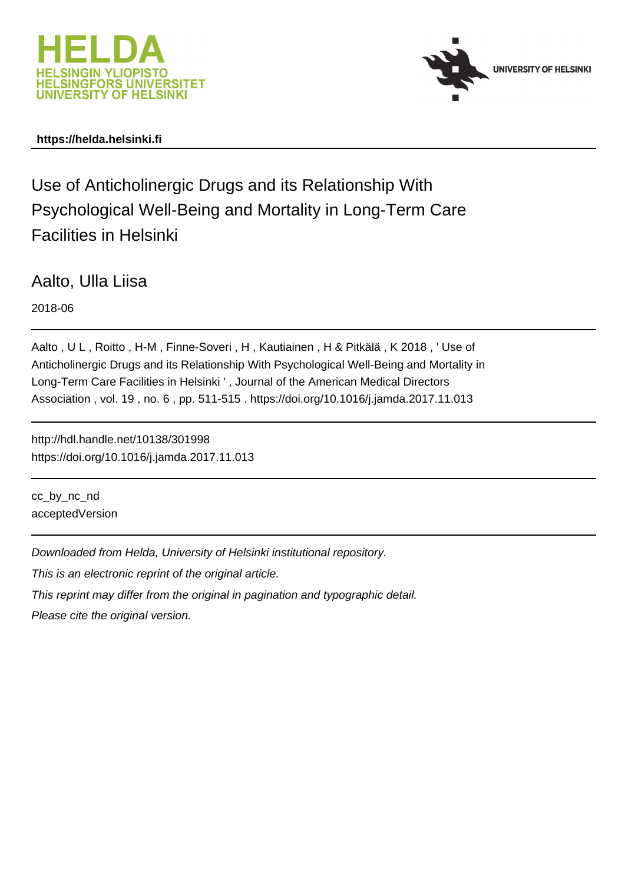



# **https://helda.helsinki.fi**

Use of Anticholinergic Drugs and its Relationship With Psychological Well-Being and Mortality in Long-Term Care Facilities in Helsinki

Aalto, Ulla Liisa

2018-06

Aalto , U L , Roitto , H-M , Finne-Soveri , H , Kautiainen , H & Pitkälä , K 2018 , ' Use of Anticholinergic Drugs and its Relationship With Psychological Well-Being and Mortality in Long-Term Care Facilities in Helsinki ' , Journal of the American Medical Directors Association , vol. 19 , no. 6 , pp. 511-515 . https://doi.org/10.1016/j.jamda.2017.11.013

http://hdl.handle.net/10138/301998 https://doi.org/10.1016/j.jamda.2017.11.013

cc\_by\_nc\_nd acceptedVersion

Downloaded from Helda, University of Helsinki institutional repository. This is an electronic reprint of the original article. This reprint may differ from the original in pagination and typographic detail.

Please cite the original version.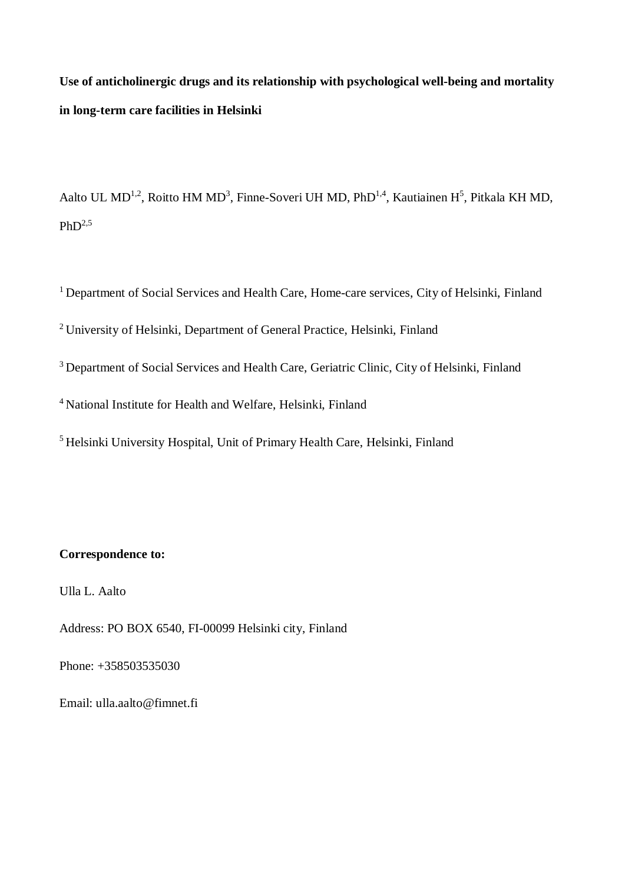**Use of anticholinergic drugs and its relationship with psychological well-being and mortality in long-term care facilities in Helsinki**

Aalto UL MD<sup>1,2</sup>, Roitto HM MD<sup>3</sup>, Finne-Soveri UH MD, PhD<sup>1,4</sup>, Kautiainen H<sup>5</sup>, Pitkala KH MD,  $PhD<sup>2,5</sup>$ 

<sup>1</sup> Department of Social Services and Health Care, Home-care services, City of Helsinki, Finland

<sup>2</sup> University of Helsinki, Department of General Practice, Helsinki, Finland

<sup>3</sup> Department of Social Services and Health Care, Geriatric Clinic, City of Helsinki, Finland

<sup>4</sup> National Institute for Health and Welfare, Helsinki, Finland

<sup>5</sup> Helsinki University Hospital, Unit of Primary Health Care, Helsinki, Finland

# **Correspondence to:**

Ulla L. Aalto

Address: PO BOX 6540, FI-00099 Helsinki city, Finland

Phone: +358503535030

Email: ulla.aalto@fimnet.fi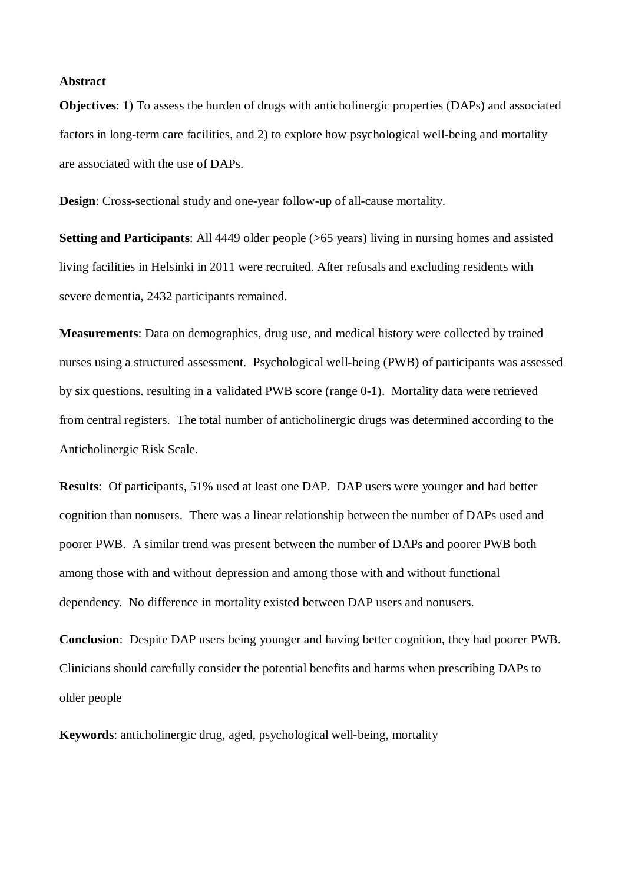#### **Abstract**

**Objectives**: 1) To assess the burden of drugs with anticholinergic properties (DAPs) and associated factors in long-term care facilities, and 2) to explore how psychological well-being and mortality are associated with the use of DAPs.

**Design**: Cross-sectional study and one-year follow-up of all-cause mortality.

**Setting and Participants:** All 4449 older people (>65 years) living in nursing homes and assisted living facilities in Helsinki in 2011 were recruited. After refusals and excluding residents with severe dementia, 2432 participants remained.

**Measurements**: Data on demographics, drug use, and medical history were collected by trained nurses using a structured assessment. Psychological well-being (PWB) of participants was assessed by six questions. resulting in a validated PWB score (range 0-1). Mortality data were retrieved from central registers. The total number of anticholinergic drugs was determined according to the Anticholinergic Risk Scale.

**Results**: Of participants, 51% used at least one DAP. DAP users were younger and had better cognition than nonusers. There was a linear relationship between the number of DAPs used and poorer PWB. A similar trend was present between the number of DAPs and poorer PWB both among those with and without depression and among those with and without functional dependency. No difference in mortality existed between DAP users and nonusers.

**Conclusion**: Despite DAP users being younger and having better cognition, they had poorer PWB. Clinicians should carefully consider the potential benefits and harms when prescribing DAPs to older people

**Keywords**: anticholinergic drug, aged, psychological well-being, mortality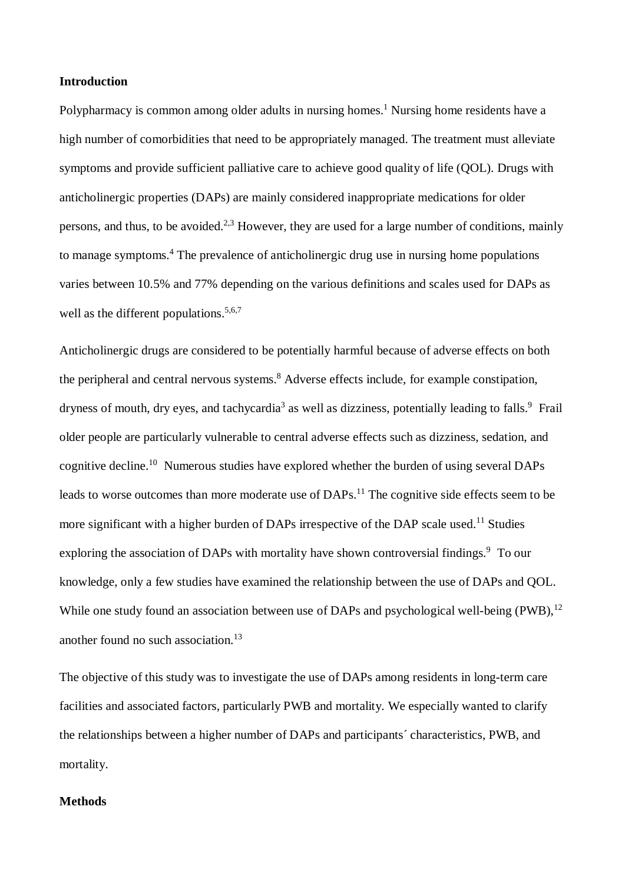### **Introduction**

Polypharmacy is common among older adults in nursing homes.<sup>1</sup> Nursing home residents have a high number of comorbidities that need to be appropriately managed. The treatment must alleviate symptoms and provide sufficient palliative care to achieve good quality of life (QOL). Drugs with anticholinergic properties (DAPs) are mainly considered inappropriate medications for older persons, and thus, to be avoided.<sup>2,3</sup> However, they are used for a large number of conditions, mainly to manage symptoms.<sup>4</sup> The prevalence of anticholinergic drug use in nursing home populations varies between 10.5% and 77% depending on the various definitions and scales used for DAPs as well as the different populations.<sup>5,6,7</sup>

Anticholinergic drugs are considered to be potentially harmful because of adverse effects on both the peripheral and central nervous systems.<sup>8</sup> Adverse effects include, for example constipation, dryness of mouth, dry eyes, and tachycardia<sup>3</sup> as well as dizziness, potentially leading to falls.<sup>9</sup> Frail older people are particularly vulnerable to central adverse effects such as dizziness, sedation, and cognitive decline.<sup>10</sup> Numerous studies have explored whether the burden of using several DAPs leads to worse outcomes than more moderate use of DAPs.<sup>11</sup> The cognitive side effects seem to be more significant with a higher burden of DAPs irrespective of the DAP scale used.<sup>11</sup> Studies exploring the association of DAPs with mortality have shown controversial findings.<sup>9</sup> To our knowledge, only a few studies have examined the relationship between the use of DAPs and QOL. While one study found an association between use of DAPs and psychological well-being (PWB).<sup>12</sup> another found no such association.<sup>13</sup>

The objective of this study was to investigate the use of DAPs among residents in long-term care facilities and associated factors, particularly PWB and mortality. We especially wanted to clarify the relationships between a higher number of DAPs and participants´ characteristics, PWB, and mortality.

### **Methods**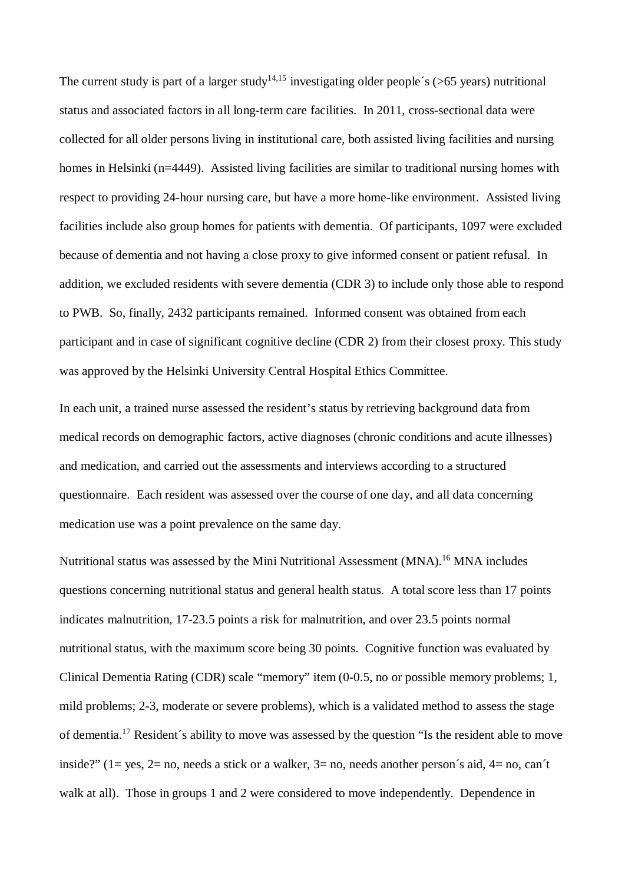The current study is part of a larger study<sup>14,15</sup> investigating older people's (>65 years) nutritional status and associated factors in all long-term care facilities. In 2011, cross-sectional data were collected for all older persons living in institutional care, both assisted living facilities and nursing homes in Helsinki (n=4449). Assisted living facilities are similar to traditional nursing homes with respect to providing 24-hour nursing care, but have a more home-like environment. Assisted living facilities include also group homes for patients with dementia. Of participants, 1097 were excluded because of dementia and not having a close proxy to give informed consent or patient refusal. In addition, we excluded residents with severe dementia (CDR 3) to include only those able to respond to PWB. So, finally, 2432 participants remained. Informed consent was obtained from each participant and in case of significant cognitive decline (CDR 2) from their closest proxy. This study was approved by the Helsinki University Central Hospital Ethics Committee.

In each unit, a trained nurse assessed the resident's status by retrieving background data from medical records on demographic factors, active diagnoses (chronic conditions and acute illnesses) and medication, and carried out the assessments and interviews according to a structured questionnaire. Each resident was assessed over the course of one day, and all data concerning medication use was a point prevalence on the same day.

Nutritional status was assessed by the Mini Nutritional Assessment (MNA).<sup>16</sup> MNA includes questions concerning nutritional status and general health status. A total score less than 17 points indicates malnutrition, 17-23.5 points a risk for malnutrition, and over 23.5 points normal nutritional status, with the maximum score being 30 points. Cognitive function was evaluated by Clinical Dementia Rating (CDR) scale "memory" item (0-0.5, no or possible memory problems; 1, mild problems; 2-3, moderate or severe problems), which is a validated method to assess the stage of dementia.<sup>17</sup> Resident´s ability to move was assessed by the question "Is the resident able to move inside?" ( $1 = yes$ ,  $2 = no$ , needs a stick or a walker,  $3 = no$ , needs another person's aid,  $4 = no$ , can't walk at all). Those in groups 1 and 2 were considered to move independently. Dependence in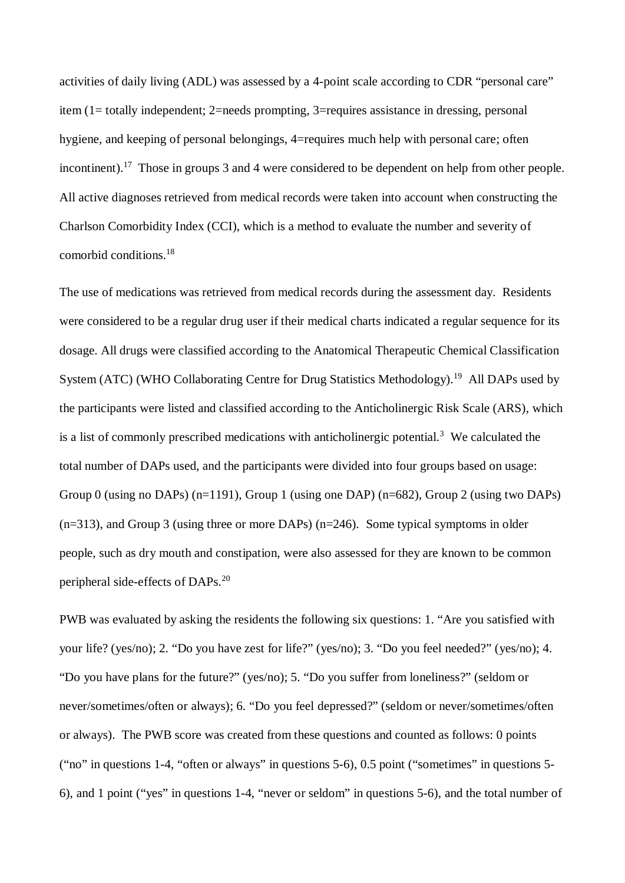activities of daily living (ADL) was assessed by a 4-point scale according to CDR "personal care" item (1= totally independent; 2=needs prompting, 3=requires assistance in dressing, personal hygiene, and keeping of personal belongings, 4=requires much help with personal care; often incontinent).<sup>17</sup> Those in groups 3 and 4 were considered to be dependent on help from other people. All active diagnoses retrieved from medical records were taken into account when constructing the Charlson Comorbidity Index (CCI), which is a method to evaluate the number and severity of comorbid conditions.<sup>18</sup>

The use of medications was retrieved from medical records during the assessment day. Residents were considered to be a regular drug user if their medical charts indicated a regular sequence for its dosage. All drugs were classified according to the Anatomical Therapeutic Chemical Classification System (ATC) (WHO Collaborating Centre for Drug Statistics Methodology).<sup>19</sup> All DAPs used by the participants were listed and classified according to the Anticholinergic Risk Scale (ARS), which is a list of commonly prescribed medications with anticholinergic potential.<sup>3</sup> We calculated the total number of DAPs used, and the participants were divided into four groups based on usage: Group 0 (using no DAPs) (n=1191), Group 1 (using one DAP) (n=682), Group 2 (using two DAPs) (n=313), and Group 3 (using three or more DAPs) (n=246). Some typical symptoms in older people, such as dry mouth and constipation, were also assessed for they are known to be common peripheral side-effects of DAPs.<sup>20</sup>

PWB was evaluated by asking the residents the following six questions: 1. "Are you satisfied with your life? (yes/no); 2. "Do you have zest for life?" (yes/no); 3. "Do you feel needed?" (yes/no); 4. "Do you have plans for the future?" (yes/no); 5. "Do you suffer from loneliness?" (seldom or never/sometimes/often or always); 6. "Do you feel depressed?" (seldom or never/sometimes/often or always). The PWB score was created from these questions and counted as follows: 0 points ("no" in questions 1-4, "often or always" in questions 5-6), 0.5 point ("sometimes" in questions 5- 6), and 1 point ("yes" in questions 1-4, "never or seldom" in questions 5-6), and the total number of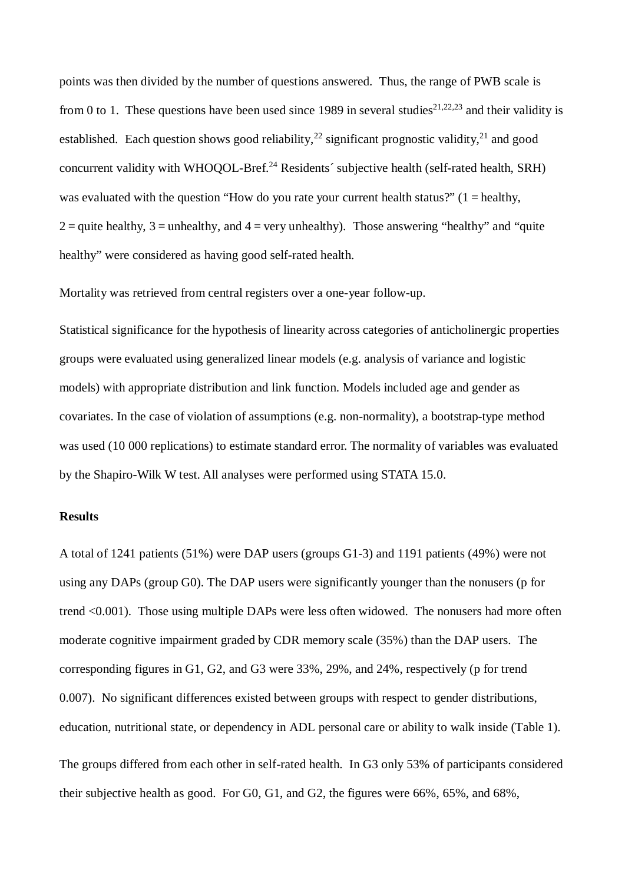points was then divided by the number of questions answered. Thus, the range of PWB scale is from 0 to 1. These questions have been used since 1989 in several studies<sup>21,22,23</sup> and their validity is established. Each question shows good reliability,<sup>22</sup> significant prognostic validity,<sup>21</sup> and good concurrent validity with WHOQOL-Bref.<sup>24</sup> Residents' subjective health (self-rated health, SRH) was evaluated with the question "How do you rate your current health status?"  $(1 = \text{health}y,$  $2 =$ quite healthy,  $3 =$ unhealthy, and  $4 =$ very unhealthy). Those answering "healthy" and "quite" healthy" were considered as having good self-rated health.

Mortality was retrieved from central registers over a one-year follow-up.

Statistical significance for the hypothesis of linearity across categories of anticholinergic properties groups were evaluated using generalized linear models (e.g. analysis of variance and logistic models) with appropriate distribution and link function. Models included age and gender as covariates. In the case of violation of assumptions (e.g. non-normality), a bootstrap-type method was used (10 000 replications) to estimate standard error. The normality of variables was evaluated by the Shapiro-Wilk W test. All analyses were performed using STATA 15.0.

## **Results**

A total of 1241 patients (51%) were DAP users (groups G1-3) and 1191 patients (49%) were not using any DAPs (group G0). The DAP users were significantly younger than the nonusers (p for trend <0.001). Those using multiple DAPs were less often widowed. The nonusers had more often moderate cognitive impairment graded by CDR memory scale (35%) than the DAP users. The corresponding figures in G1, G2, and G3 were 33%, 29%, and 24%, respectively (p for trend 0.007). No significant differences existed between groups with respect to gender distributions, education, nutritional state, or dependency in ADL personal care or ability to walk inside (Table 1). The groups differed from each other in self-rated health. In G3 only 53% of participants considered their subjective health as good. For G0, G1, and G2, the figures were 66%, 65%, and 68%,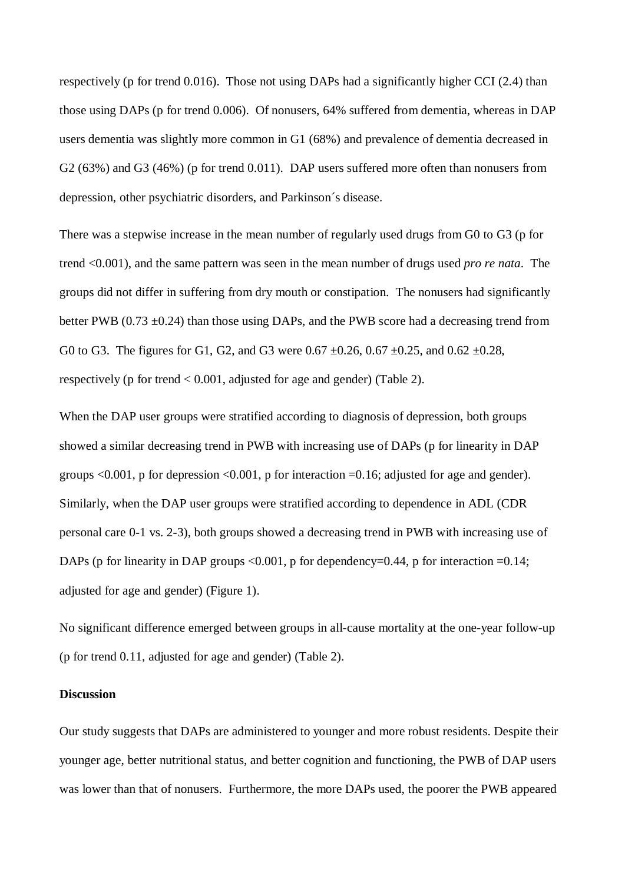respectively (p for trend 0.016). Those not using DAPs had a significantly higher CCI (2.4) than those using DAPs (p for trend 0.006). Of nonusers, 64% suffered from dementia, whereas in DAP users dementia was slightly more common in G1 (68%) and prevalence of dementia decreased in G2 (63%) and G3 (46%) (p for trend 0.011). DAP users suffered more often than nonusers from depression, other psychiatric disorders, and Parkinson´s disease.

There was a stepwise increase in the mean number of regularly used drugs from G0 to G3 (p for trend <0.001), and the same pattern was seen in the mean number of drugs used *pro re nata*. The groups did not differ in suffering from dry mouth or constipation. The nonusers had significantly better PWB ( $0.73 \pm 0.24$ ) than those using DAPs, and the PWB score had a decreasing trend from G0 to G3. The figures for G1, G2, and G3 were  $0.67 \pm 0.26$ ,  $0.67 \pm 0.25$ , and  $0.62 \pm 0.28$ , respectively (p for trend < 0.001, adjusted for age and gender) (Table 2).

When the DAP user groups were stratified according to diagnosis of depression, both groups showed a similar decreasing trend in PWB with increasing use of DAPs (p for linearity in DAP groups  $\leq 0.001$ , p for depression  $\leq 0.001$ , p for interaction =0.16; adjusted for age and gender). Similarly, when the DAP user groups were stratified according to dependence in ADL (CDR personal care 0-1 vs. 2-3), both groups showed a decreasing trend in PWB with increasing use of DAPs (p for linearity in DAP groups  $\langle 0.001, p$  for dependency=0.44, p for interaction =0.14; adjusted for age and gender) (Figure 1).

No significant difference emerged between groups in all-cause mortality at the one-year follow-up (p for trend 0.11, adjusted for age and gender) (Table 2).

#### **Discussion**

Our study suggests that DAPs are administered to younger and more robust residents. Despite their younger age, better nutritional status, and better cognition and functioning, the PWB of DAP users was lower than that of nonusers. Furthermore, the more DAPs used, the poorer the PWB appeared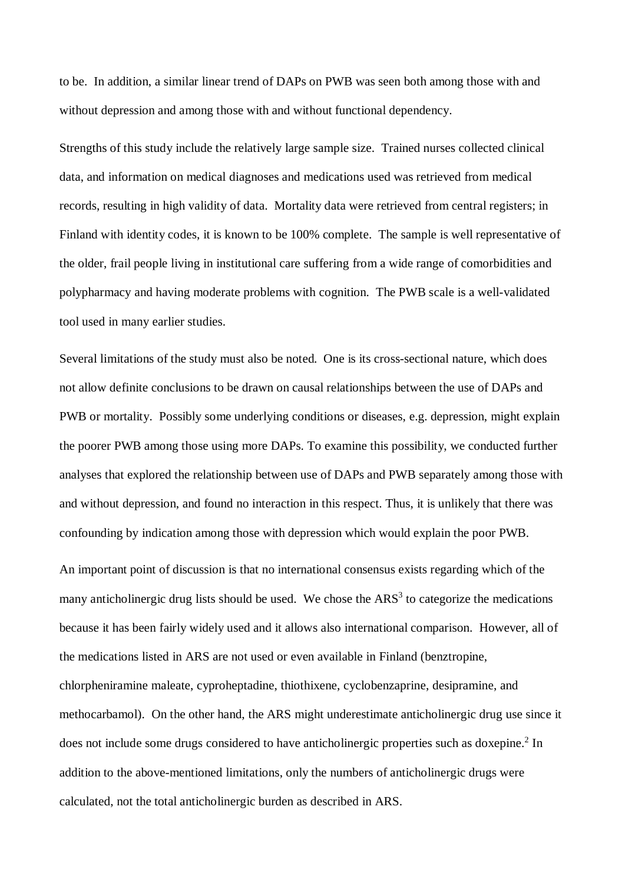to be. In addition, a similar linear trend of DAPs on PWB was seen both among those with and without depression and among those with and without functional dependency.

Strengths of this study include the relatively large sample size. Trained nurses collected clinical data, and information on medical diagnoses and medications used was retrieved from medical records, resulting in high validity of data. Mortality data were retrieved from central registers; in Finland with identity codes, it is known to be 100% complete. The sample is well representative of the older, frail people living in institutional care suffering from a wide range of comorbidities and polypharmacy and having moderate problems with cognition. The PWB scale is a well-validated tool used in many earlier studies.

Several limitations of the study must also be noted. One is its cross-sectional nature, which does not allow definite conclusions to be drawn on causal relationships between the use of DAPs and PWB or mortality. Possibly some underlying conditions or diseases, e.g. depression, might explain the poorer PWB among those using more DAPs. To examine this possibility, we conducted further analyses that explored the relationship between use of DAPs and PWB separately among those with and without depression, and found no interaction in this respect. Thus, it is unlikely that there was confounding by indication among those with depression which would explain the poor PWB.

An important point of discussion is that no international consensus exists regarding which of the many anticholinergic drug lists should be used. We chose the  $ARS<sup>3</sup>$  to categorize the medications because it has been fairly widely used and it allows also international comparison. However, all of the medications listed in ARS are not used or even available in Finland (benztropine, chlorpheniramine maleate, cyproheptadine, thiothixene, cyclobenzaprine, desipramine, and methocarbamol). On the other hand, the ARS might underestimate anticholinergic drug use since it does not include some drugs considered to have anticholinergic properties such as doxepine.<sup>2</sup> In addition to the above-mentioned limitations, only the numbers of anticholinergic drugs were calculated, not the total anticholinergic burden as described in ARS.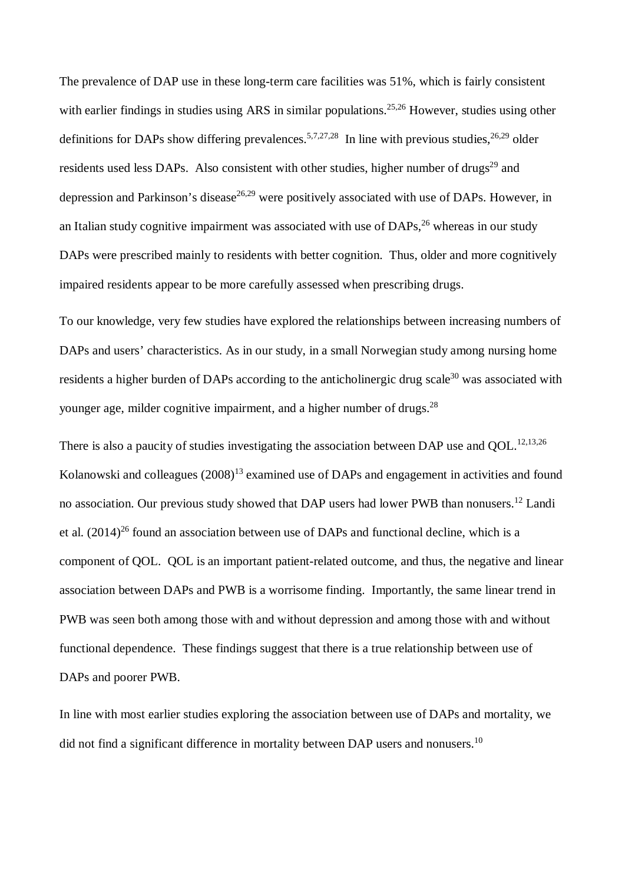The prevalence of DAP use in these long-term care facilities was 51%, which is fairly consistent with earlier findings in studies using ARS in similar populations.<sup>25,26</sup> However, studies using other definitions for DAPs show differing prevalences.<sup>5,7,27,28</sup> In line with previous studies.<sup>26,29</sup> older residents used less DAPs. Also consistent with other studies, higher number of drugs<sup>29</sup> and depression and Parkinson's disease<sup>26,29</sup> were positively associated with use of DAPs. However, in an Italian study cognitive impairment was associated with use of  $DAPs<sup>26</sup>$  whereas in our study DAPs were prescribed mainly to residents with better cognition. Thus, older and more cognitively impaired residents appear to be more carefully assessed when prescribing drugs.

To our knowledge, very few studies have explored the relationships between increasing numbers of DAPs and users' characteristics. As in our study, in a small Norwegian study among nursing home residents a higher burden of DAPs according to the anticholinergic drug scale<sup>30</sup> was associated with younger age, milder cognitive impairment, and a higher number of drugs.<sup>28</sup>

There is also a paucity of studies investigating the association between DAP use and QOL.<sup>12,13,26</sup> Kolanowski and colleagues  $(2008)^{13}$  examined use of DAPs and engagement in activities and found no association. Our previous study showed that DAP users had lower PWB than nonusers.<sup>12</sup> Landi et al.  $(2014)^{26}$  found an association between use of DAPs and functional decline, which is a component of QOL. QOL is an important patient-related outcome, and thus, the negative and linear association between DAPs and PWB is a worrisome finding. Importantly, the same linear trend in PWB was seen both among those with and without depression and among those with and without functional dependence. These findings suggest that there is a true relationship between use of DAPs and poorer PWB.

In line with most earlier studies exploring the association between use of DAPs and mortality, we did not find a significant difference in mortality between DAP users and nonusers.<sup>10</sup>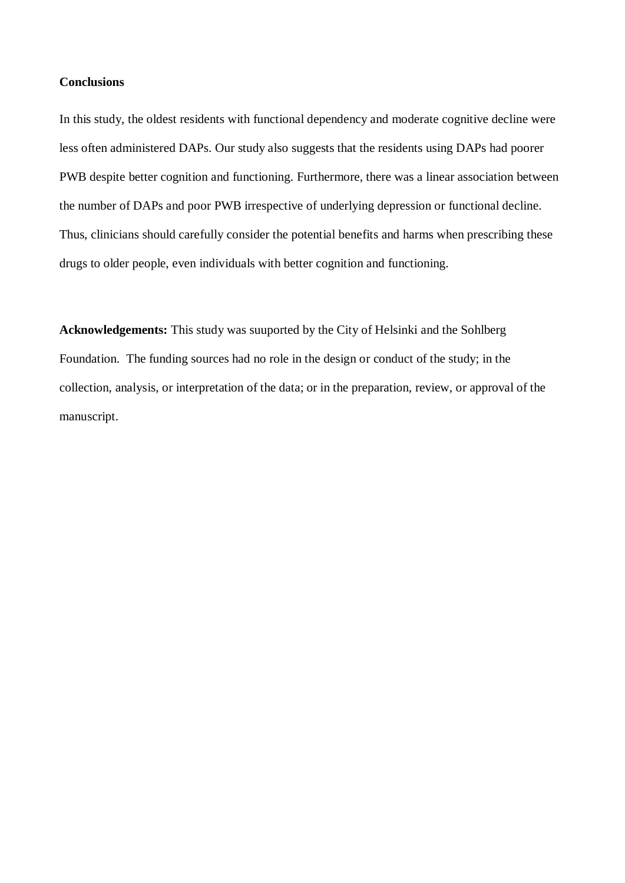## **Conclusions**

In this study, the oldest residents with functional dependency and moderate cognitive decline were less often administered DAPs. Our study also suggests that the residents using DAPs had poorer PWB despite better cognition and functioning. Furthermore, there was a linear association between the number of DAPs and poor PWB irrespective of underlying depression or functional decline. Thus, clinicians should carefully consider the potential benefits and harms when prescribing these drugs to older people, even individuals with better cognition and functioning.

**Acknowledgements:** This study was suuported by the City of Helsinki and the Sohlberg Foundation. The funding sources had no role in the design or conduct of the study; in the collection, analysis, or interpretation of the data; or in the preparation, review, or approval of the manuscript.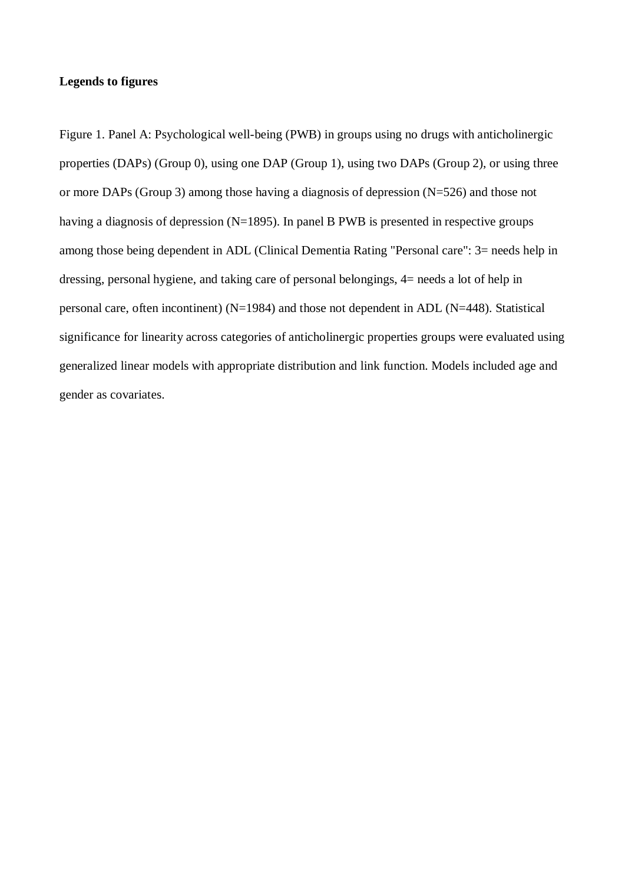## **Legends to figures**

Figure 1. Panel A: Psychological well-being (PWB) in groups using no drugs with anticholinergic properties (DAPs) (Group 0), using one DAP (Group 1), using two DAPs (Group 2), or using three or more DAPs (Group 3) among those having a diagnosis of depression (N=526) and those not having a diagnosis of depression (N=1895). In panel B PWB is presented in respective groups among those being dependent in ADL (Clinical Dementia Rating "Personal care": 3= needs help in dressing, personal hygiene, and taking care of personal belongings, 4= needs a lot of help in personal care, often incontinent) (N=1984) and those not dependent in ADL (N=448). Statistical significance for linearity across categories of anticholinergic properties groups were evaluated using generalized linear models with appropriate distribution and link function. Models included age and gender as covariates.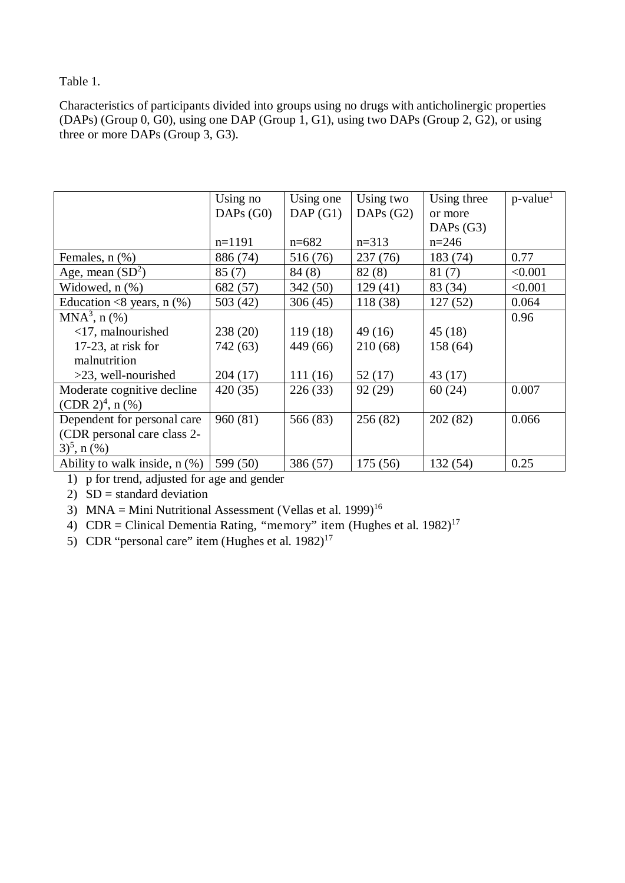## Table 1.

Characteristics of participants divided into groups using no drugs with anticholinergic properties (DAPs) (Group 0, G0), using one DAP (Group 1, G1), using two DAPs (Group 2, G2), or using three or more DAPs (Group 3, G3).

|                                  | Using no    | Using one | Using two   | Using three | $p$ -value <sup>1</sup> |
|----------------------------------|-------------|-----------|-------------|-------------|-------------------------|
|                                  | DAPs $(G0)$ | DAP(G1)   | DAPs $(G2)$ | or more     |                         |
|                                  |             |           |             | DAPs $(G3)$ |                         |
|                                  | $n=1191$    | $n=682$   | $n=313$     | $n = 246$   |                         |
| Females, $n$ $(\%)$              | 886 (74)    | 516 (76)  | 237(76)     | 183 (74)    | 0.77                    |
| Age, mean $(SD^2)$               | 85(7)       | 84(8)     | 82(8)       | 81(7)       | < 0.001                 |
| Widowed, n (%)                   | 682 (57)    | 342(50)   | 129(41)     | 83 (34)     | < 0.001                 |
| Education <8 years, $n$ (%)      | 503(42)     | 306(45)   | 118 (38)    | 127(52)     | 0.064                   |
| $MNA3$ , n $(\% )$               |             |           |             |             | 0.96                    |
| $<$ 17, malnourished             | 238(20)     | 119(18)   | 49(16)      | 45(18)      |                         |
| $17-23$ , at risk for            | 742 (63)    | 449 (66)  | 210 (68)    | 158 (64)    |                         |
| malnutrition                     |             |           |             |             |                         |
| $>23$ , well-nourished           | 204(17)     | 111(16)   | 52(17)      | 43 (17)     |                         |
| Moderate cognitive decline       | 420 (35)    | 226(33)   | 92(29)      | 60(24)      | 0.007                   |
| (CDR 2) <sup>4</sup> , n $(\% )$ |             |           |             |             |                         |
| Dependent for personal care      | 960(81)     | 566 (83)  | 256(82)     | 202(82)     | 0.066                   |
| (CDR personal care class 2-      |             |           |             |             |                         |
| $(3)^5$ , n $(\%)$               |             |           |             |             |                         |
| Ability to walk inside, $n$ (%)  | 599 (50)    | 386 (57)  | 175(56)     | 132 (54)    | 0.25                    |

1) p for trend, adjusted for age and gender

2)  $SD = standard deviation$ 

3) MNA = Mini Nutritional Assessment (Vellas et al. 1999)<sup>16</sup>

4) CDR = Clinical Dementia Rating, "memory" item (Hughes et al.  $1982$ )<sup>17</sup>

5) CDR "personal care" item (Hughes et al.  $1982$ )<sup>17</sup>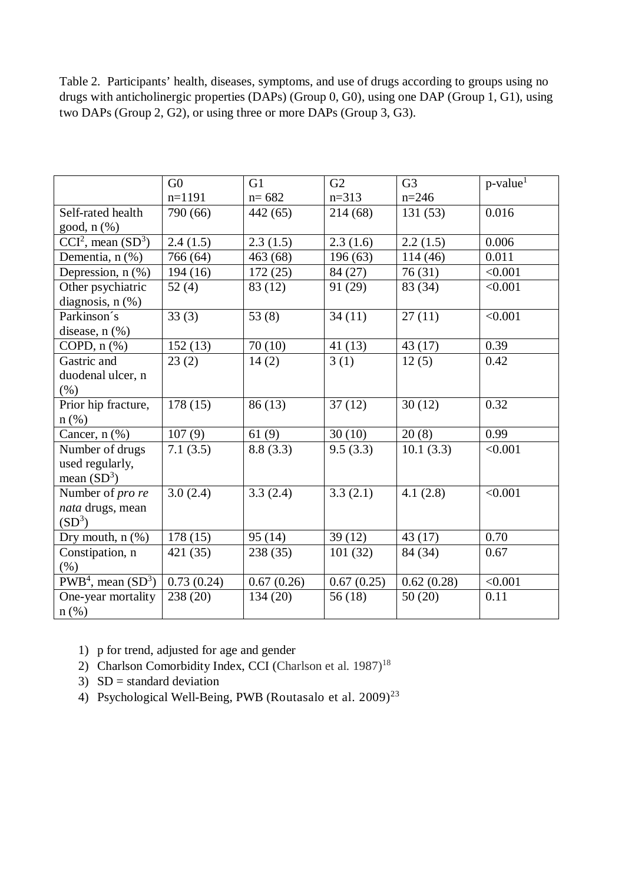Table 2. Participants' health, diseases, symptoms, and use of drugs according to groups using no drugs with anticholinergic properties (DAPs) (Group 0, G0), using one DAP (Group 1, G1), using two DAPs (Group 2, G2), or using three or more DAPs (Group 3, G3).

|                                                  | G <sub>0</sub> | G1         | G2         | G <sub>3</sub> | $p$ -value <sup>1</sup> |
|--------------------------------------------------|----------------|------------|------------|----------------|-------------------------|
|                                                  | $n=1191$       | $n = 682$  | $n=313$    | $n=246$        |                         |
| Self-rated health                                | 790 (66)       | 442 (65)   | 214 (68)   | 131(53)        | 0.016                   |
| good, n (%)                                      |                |            |            |                |                         |
| $CCI2$ , mean $(SD3)$                            | 2.4(1.5)       | 2.3(1.5)   | 2.3(1.6)   | 2.2(1.5)       | 0.006                   |
| Dementia, n (%)                                  | 766 (64)       | 463 (68)   | 196(63)    | 114(46)        | 0.011                   |
| Depression, $n$ $(\%)$                           | 194(16)        | 172(25)    | 84 (27)    | 76(31)         | < 0.001                 |
| Other psychiatric                                | 52(4)          | 83 (12)    | 91 (29)    | 83 (34)        | < 0.001                 |
| diagnosis, $n$ $(\%)$                            |                |            |            |                |                         |
| Parkinson's                                      | 33(3)          | 53 $(8)$   | 34(11)     | 27(11)         | < 0.001                 |
| disease, $n$ $(\%)$                              |                |            |            |                |                         |
| COPD, $n$ $%$                                    | 152(13)        | 70(10)     | 41(13)     | 43(17)         | 0.39                    |
| Gastric and                                      | 23(2)          | 14(2)      | 3(1)       | 12(5)          | 0.42                    |
| duodenal ulcer, n                                |                |            |            |                |                         |
| (% )                                             |                |            |            |                |                         |
| Prior hip fracture,                              | 178(15)        | 86(13)     | 37(12)     | 30(12)         | 0.32                    |
| $n$ (%)                                          |                |            |            |                |                         |
| Cancer, $n$ $(\%)$                               | 107(9)         | 61(9)      | 30(10)     | 20(8)          | 0.99                    |
| Number of drugs                                  | 7.1(3.5)       | 8.8(3.3)   | 9.5(3.3)   | 10.1(3.3)      | < 0.001                 |
| used regularly,                                  |                |            |            |                |                         |
| mean $(SD^3)$                                    |                |            |            |                |                         |
| Number of pro re                                 | 3.0(2.4)       | 3.3(2.4)   | 3.3(2.1)   | 4.1(2.8)       | < 0.001                 |
| nata drugs, mean                                 |                |            |            |                |                         |
| $(SD^3)$                                         |                |            |            |                |                         |
| Dry mouth, $n$ $(\%)$                            | 178(15)        | 95(14)     | 39(12)     | 43(17)         | 0.70                    |
| Constipation, n                                  | 421 (35)       | 238 (35)   | 101(32)    | 84 (34)        | 0.67                    |
| (% )                                             |                |            |            |                |                         |
| $\overline{\text{PWB}}^4$ , mean $(\text{SD}^3)$ | 0.73(0.24)     | 0.67(0.26) | 0.67(0.25) | 0.62(0.28)     | < 0.001                 |
| One-year mortality                               | 238 (20)       | 134 (20)   | 56(18)     | 50(20)         | 0.11                    |
| $n$ (%)                                          |                |            |            |                |                         |

- 1) p for trend, adjusted for age and gender
- 2) Charlson Comorbidity Index, CCI (Charlson et al. 1987)<sup>18</sup>
- 3)  $SD = standard deviation$
- 4) Psychological Well-Being, PWB (Routasalo et al. 2009)<sup>23</sup>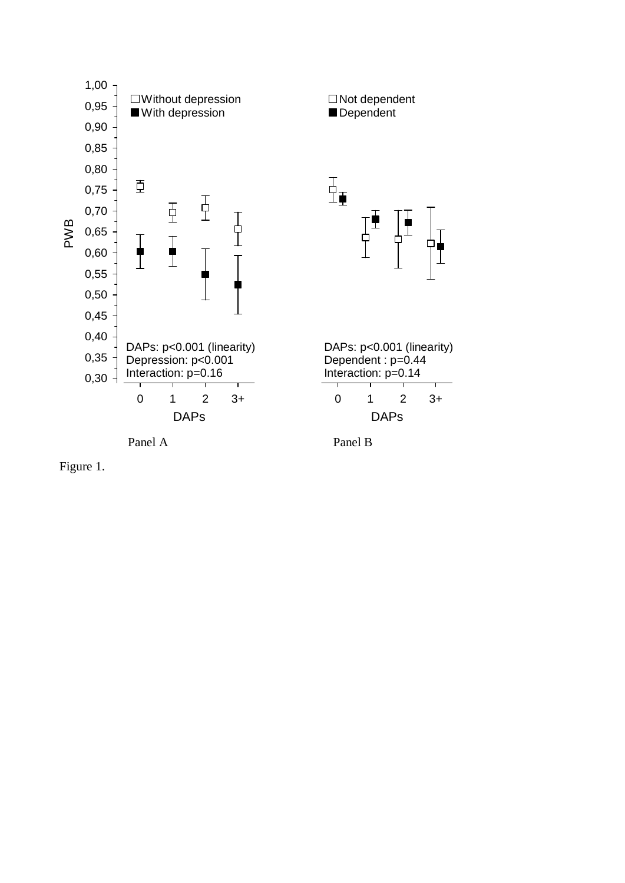

Figure 1.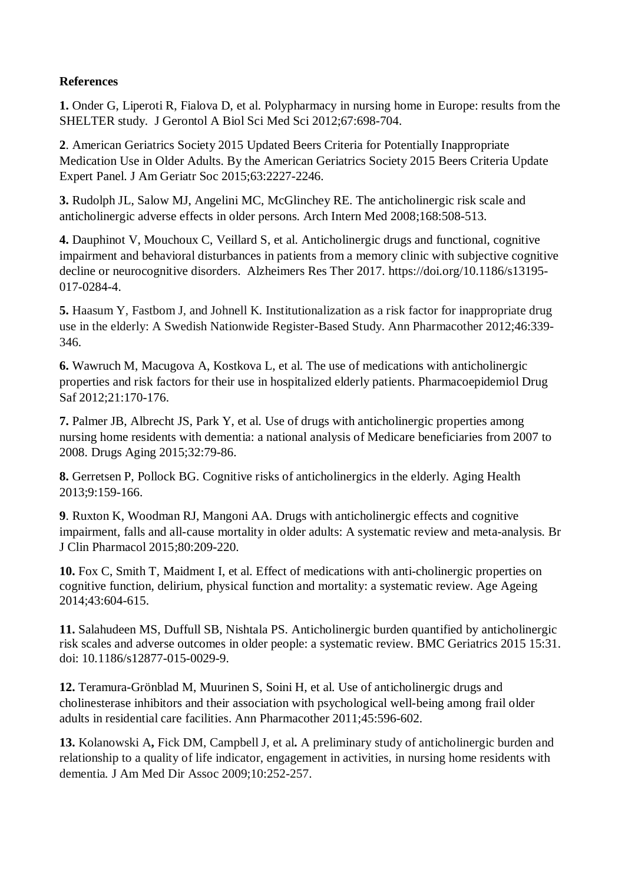# **References**

**1.** Onder G, Liperoti R, Fialova D, et al. Polypharmacy in nursing home in Europe: results from the SHELTER study. J Gerontol A Biol Sci Med Sci 2012;67:698-704.

**2**. American Geriatrics Society 2015 Updated Beers Criteria for Potentially Inappropriate Medication Use in Older Adults. By the American Geriatrics Society 2015 Beers Criteria Update Expert Panel. J Am Geriatr Soc 2015;63:2227-2246.

**3.** Rudolph JL, Salow MJ, Angelini MC, McGlinchey RE. The anticholinergic risk scale and anticholinergic adverse effects in older persons. Arch Intern Med 2008;168:508-513.

**4.** Dauphinot V, Mouchoux C, Veillard S, et al. Anticholinergic drugs and functional, cognitive impairment and behavioral disturbances in patients from a memory clinic with subjective cognitive decline or neurocognitive disorders. Alzheimers Res Ther 2017. https://doi.org/10.1186/s13195- 017-0284-4.

**5.** Haasum Y, Fastbom J, and Johnell K. Institutionalization as a risk factor for inappropriate drug use in the elderly: A Swedish Nationwide Register-Based Study. Ann Pharmacother 2012;46:339- 346.

**6.** Wawruch M, Macugova A, Kostkova L, et al. The use of medications with anticholinergic properties and risk factors for their use in hospitalized elderly patients. Pharmacoepidemiol Drug Saf 2012;21:170-176.

**7.** Palmer JB, Albrecht JS, Park Y, et al. Use of drugs with anticholinergic properties among nursing home residents with dementia: a national analysis of Medicare beneficiaries from 2007 to 2008. Drugs Aging 2015;32:79-86.

**8.** Gerretsen P, Pollock BG. Cognitive risks of anticholinergics in the elderly. Aging Health 2013;9:159-166.

**9**. Ruxton K, Woodman RJ, Mangoni AA. Drugs with anticholinergic effects and cognitive impairment, falls and all-cause mortality in older adults: A systematic review and meta-analysis. Br J Clin Pharmacol 2015;80:209-220.

**10.** Fox C, Smith T, Maidment I, et al. Effect of medications with anti-cholinergic properties on cognitive function, delirium, physical function and mortality: a systematic review. Age Ageing 2014;43:604-615.

**11.** Salahudeen MS, Duffull SB, Nishtala PS. Anticholinergic burden quantified by anticholinergic risk scales and adverse outcomes in older people: a systematic review. BMC Geriatrics 2015 15:31. doi: 10.1186/s12877-015-0029-9.

**12.** Teramura-Grönblad M, Muurinen S, Soini H, et al. Use of anticholinergic drugs and cholinesterase inhibitors and their association with psychological well-being among frail older adults in residential care facilities. Ann Pharmacother 2011;45:596-602.

**13.** Kolanowski A**,** Fick DM, Campbell J, et al**.** A preliminary study of anticholinergic burden and relationship to a quality of life indicator, engagement in activities, in nursing home residents with dementia*.* J Am Med Dir Assoc 2009;10:252-257.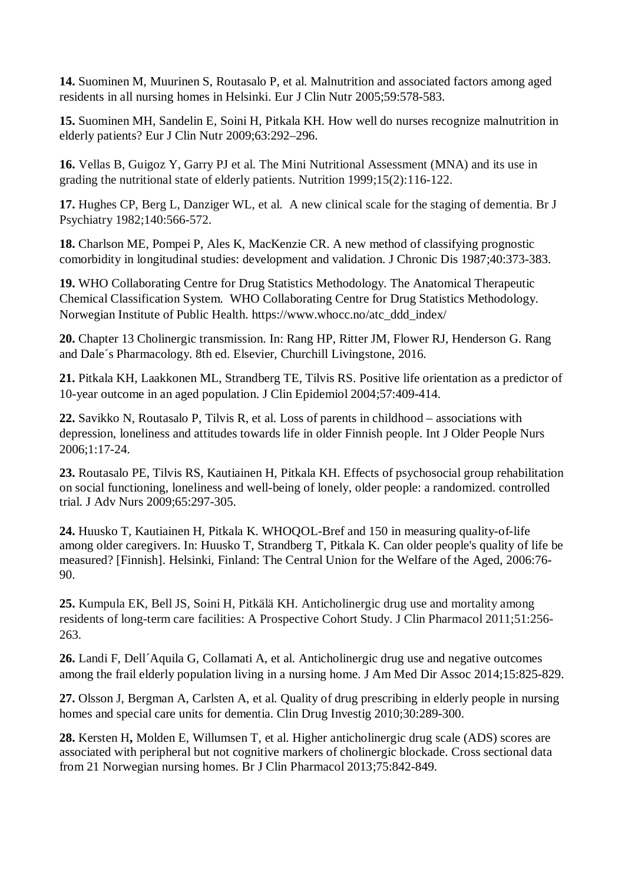**14.** Suominen M, Muurinen S, Routasalo P, et al. Malnutrition and associated factors among aged residents in all nursing homes in Helsinki. Eur J Clin Nutr 2005;59:578-583.

**15.** Suominen MH, Sandelin E, Soini H, Pitkala KH. How well do nurses recognize malnutrition in elderly patients? Eur J Clin Nutr 2009;63:292–296.

**16.** Vellas B, Guigoz Y, Garry PJ et al. The Mini Nutritional Assessment (MNA) and its use in grading the nutritional state of elderly patients. Nutrition 1999;15(2):116-122.

**17.** Hughes CP, Berg L, Danziger WL, et al. A new clinical scale for the staging of dementia. Br J Psychiatry 1982;140:566-572.

**18.** Charlson ME, Pompei P, Ales K, MacKenzie CR. A new method of classifying prognostic comorbidity in longitudinal studies: development and validation. J Chronic Dis 1987;40:373-383.

**19.** WHO Collaborating Centre for Drug Statistics Methodology. The Anatomical Therapeutic Chemical Classification System. WHO Collaborating Centre for Drug Statistics Methodology. Norwegian Institute of Public Health. https://www.whocc.no/atc\_ddd\_index/

**20.** Chapter 13 Cholinergic transmission. In: Rang HP, Ritter JM, Flower RJ, Henderson G. Rang and Dale´s Pharmacology. 8th ed. Elsevier, Churchill Livingstone, 2016.

**21.** Pitkala KH, Laakkonen ML, Strandberg TE, Tilvis RS. Positive life orientation as a predictor of 10-year outcome in an aged population. J Clin Epidemiol 2004;57:409-414.

**22.** Savikko N, Routasalo P, Tilvis R, et al. Loss of parents in childhood – associations with depression, loneliness and attitudes towards life in older Finnish people. Int J Older People Nurs 2006;1:17-24.

**23.** Routasalo PE, Tilvis RS, Kautiainen H, Pitkala KH. Effects of psychosocial group rehabilitation on social functioning, loneliness and well-being of lonely, older people: a randomized. controlled trial. J Adv Nurs 2009;65:297-305.

**24.** Huusko T, Kautiainen H, Pitkala K. WHOQOL-Bref and 150 in measuring quality-of-life among older caregivers. In: Huusko T, Strandberg T, Pitkala K. Can older people's quality of life be measured? [Finnish]. Helsinki, Finland: The Central Union for the Welfare of the Aged, 2006:76- 90.

**25.** Kumpula EK, Bell JS, Soini H, Pitkälä KH. Anticholinergic drug use and mortality among residents of long-term care facilities: A Prospective Cohort Study. J Clin Pharmacol 2011;51:256- 263.

**26.** Landi F, Dell´Aquila G, Collamati A, et al. Anticholinergic drug use and negative outcomes among the frail elderly population living in a nursing home. [J Am Med Dir Assoc](http://www.sciencedirect.com.libproxy.helsinki.fi/science/journal/1525861023(i)38(c%20)-26(b)20(urde)-23(n)20(:%20assoc)-26(i)38(at)-38(i)38(o)-20(ns%20w)-19(i)38(t)-22(h)20(%20se)-17(ru)-27(m)38(%20ant)-28(i)38(c)-16(h)20(o)-40(l)18) 2014;15:825-829.

**27.** Olsson J, Bergman A, Carlsten A, et al. Quality of drug prescribing in elderly people in nursing homes and special care units for dementia. Clin Drug Investig 2010;30:289-300.

**28.** Kersten H**,** Molden E, Willumsen T, et al. Higher anticholinergic drug scale (ADS) scores are associated with peripheral but not cognitive markers of cholinergic blockade. Cross sectional data from 21 Norwegian nursing homes. Br J Clin Pharmacol 2013;75:842-849.